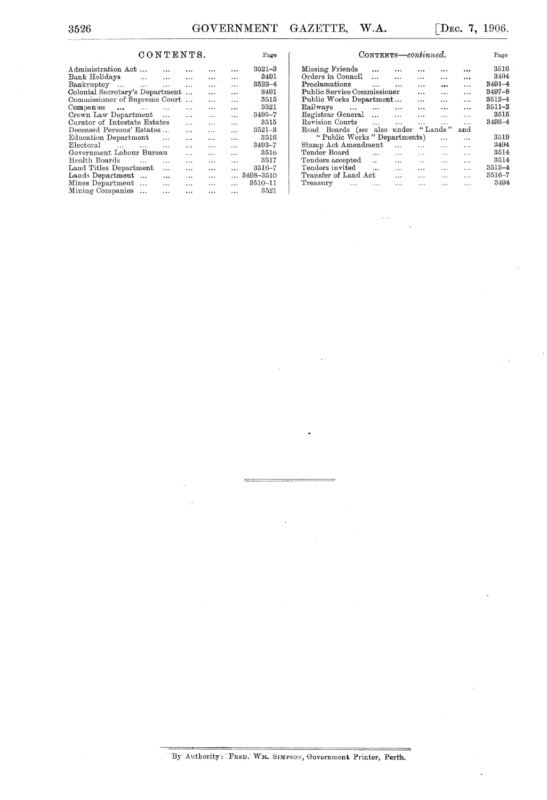Page

## ${\bf \texttt{CONTENTS}}.$

| Administration Act<br>$\cdots$              |           | $\ddotsc$      | $\cdots$                                 |                | $3521 - 3$         |
|---------------------------------------------|-----------|----------------|------------------------------------------|----------------|--------------------|
| Bank Holidays                               |           | $\cdots$       |                                          | $\ddotsc$      | 3491               |
| Bankruptcy                                  |           | $\cdots$       | $\mathbf{r} \in \mathbb{R}^{n \times n}$ | $\ddotsc$      | $3523 - 4$         |
| Colonial Secretary's Department             |           | $\cdots$       |                                          | $\cdots$       | 3491               |
| Commissioner of Supreme Court               |           | $\ddotsc$      | $\ddotsc$                                | $\ddotsc$      | 3515               |
| Companies<br>$\sim$ $\sim$                  |           | .              | $\cdots$                                 | $\ddotsc$      | 3521               |
| Crown Law Department<br>$\ddotsc$           |           | $\cdots$       | $\ddotsc$                                | $\cdots$       | $3495 - 7$         |
| Curator of Intestate Estates                |           | $\cdots$       | $\overline{\phantom{a}}$                 | $\ddotsc$      | 3515               |
| Deceased Persons' Estates<br>$\ddotsc$      |           | $\cdots$       | $\ddotsc$                                | $\ddotsc$      | $3521 - 3$         |
| Education Department                        | $\ddotsc$ | $\cdots$       | $\ddotsc$                                | $\ddotsc$      | 3516               |
| Electoral<br><b><i>Committee States</i></b> | $\ddotsc$ | $\cdots$       | $\cdot$                                  | $\cdots$       | $3493 - 7$         |
| Government Labour Bureau                    |           | $\overline{a}$ | $\ddotsc$                                | $\cdots$       | 3516               |
| Health Boards                               | $\cdots$  | $\cdots$       | $\cdots$                                 | $\ddotsc$      | 3517               |
| Land Titles Department                      | $\ddotsc$ | $\cdots$       | $\ddotsc$                                | $\cdots$       | $3516 - 7$         |
| Lands Department<br>$\cdots$                | $\ddotsc$ | $\cdots$       | $\ddotsc$                                |                | $\ldots$ 3498-3510 |
| Mines Department                            | $\cdots$  | $\cdots$       | $\ddotsc$                                | $\cdots$       | 3510-11            |
| Mining Companies                            | $\ddotsc$ | $\ddotsc$      |                                          | $\overline{a}$ | 3521               |
|                                             |           |                |                                          |                |                    |

| CONTENTS-continued.         |           | Page          |                      |           |           |            |
|-----------------------------|-----------|---------------|----------------------|-----------|-----------|------------|
| Missing Friends             | $\cdots$  | $\cdots$      |                      |           | $\cdots$  | 3516       |
| Orders in Council           |           | $\cdots$      | $\cdots$             | $\cdots$  |           | 3494       |
| Proclamations               | $\cdots$  | $\cdots$      | $\cdots$             |           | $\ddotsc$ | $3491 - 4$ |
| Public Service Commissioner |           |               | $\ddotsc$            | $\ddotsc$ | $\cdot$   | $3497 - 8$ |
| Public Works Department     |           |               | $\cdots$             | .         | $\cdots$  | $3512 - 4$ |
| Railways                    |           | $\sim$ $\sim$ | $\cdots$             | $\cdots$  | $\cdots$  | $3511 - 2$ |
| Registrar General           |           |               | $\ddotsc$            | $\cdots$  | $\cdots$  | 3515       |
| Revision Courts             | $\sim$    | $\cdots$      | $\ddotsc$            | .         | .         | 3493-4     |
| Road Boards (see also under |           |               |                      | "Lands"   | and       |            |
| "Public Works" Departments) |           |               |                      | $\ddotsc$ | $\cdots$  | 3519       |
| Stamp Act Amendment         |           | $\cdots$      | $\cdots$             | $\cdots$  | $\cdots$  | 3494       |
| Tender Board                | $\ddotsc$ | $\cdots$      | $\cdots$             | .         | $\cdots$  | 3514       |
| Tenders accepted            | $\sim$    | $\cdots$      | $\ddot{\phantom{a}}$ | $\ddotsc$ | $\cdots$  | 3514       |
| Tenders invited             | $\ddotsc$ | $\ddotsc$     | $\cdots$             | $\ddotsc$ | $\cdots$  | $3513 - 4$ |
| Transfer of Land Act        |           |               |                      |           |           | 3516-7     |
| Treasury<br>$\cdots$        | $\cdots$  | <b></b>       | $\cdots$             | $\cdots$  | $\cdots$  | 3494       |

"By Authority: FRED. WM. SIMPSON, Government Printer, Perth.